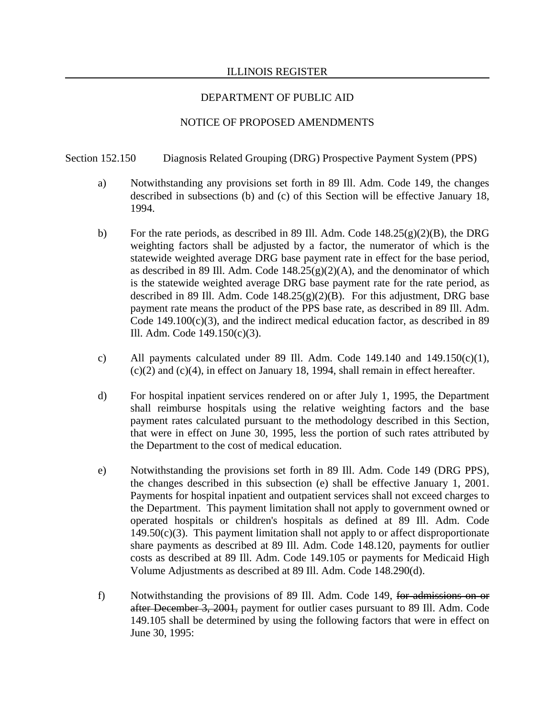### ILLINOIS REGISTER

# DEPARTMENT OF PUBLIC AID

## NOTICE OF PROPOSED AMENDMENTS

### Section 152.150 Diagnosis Related Grouping (DRG) Prospective Payment System (PPS)

- a) Notwithstanding any provisions set forth in 89 Ill. Adm. Code 149, the changes described in subsections (b) and (c) of this Section will be effective January 18, 1994.
- b) For the rate periods, as described in 89 Ill. Adm. Code 148.25(g)(2)(B), the DRG weighting factors shall be adjusted by a factor, the numerator of which is the statewide weighted average DRG base payment rate in effect for the base period, as described in 89 Ill. Adm. Code  $148.25(g)(2)(A)$ , and the denominator of which is the statewide weighted average DRG base payment rate for the rate period, as described in 89 Ill. Adm. Code  $148.25(g)(2)(B)$ . For this adjustment, DRG base payment rate means the product of the PPS base rate, as described in 89 Ill. Adm. Code  $149.100(c)(3)$ , and the indirect medical education factor, as described in 89 Ill. Adm. Code 149.150(c)(3).
- c) All payments calculated under 89 Ill. Adm. Code  $149.140$  and  $149.150(c)(1)$ , (c)(2) and (c)(4), in effect on January 18, 1994, shall remain in effect hereafter.
- d) For hospital inpatient services rendered on or after July 1, 1995, the Department shall reimburse hospitals using the relative weighting factors and the base payment rates calculated pursuant to the methodology described in this Section, that were in effect on June 30, 1995, less the portion of such rates attributed by the Department to the cost of medical education.
- e) Notwithstanding the provisions set forth in 89 Ill. Adm. Code 149 (DRG PPS), the changes described in this subsection (e) shall be effective January 1, 2001. Payments for hospital inpatient and outpatient services shall not exceed charges to the Department. This payment limitation shall not apply to government owned or operated hospitals or children's hospitals as defined at 89 Ill. Adm. Code  $149.50(c)(3)$ . This payment limitation shall not apply to or affect disproportionate share payments as described at 89 Ill. Adm. Code 148.120, payments for outlier costs as described at 89 Ill. Adm. Code 149.105 or payments for Medicaid High Volume Adjustments as described at 89 Ill. Adm. Code 148.290(d).
- f) Notwithstanding the provisions of 89 Ill. Adm. Code 149, for admissions on or after December 3, 2001, payment for outlier cases pursuant to 89 Ill. Adm. Code 149.105 shall be determined by using the following factors that were in effect on June 30, 1995: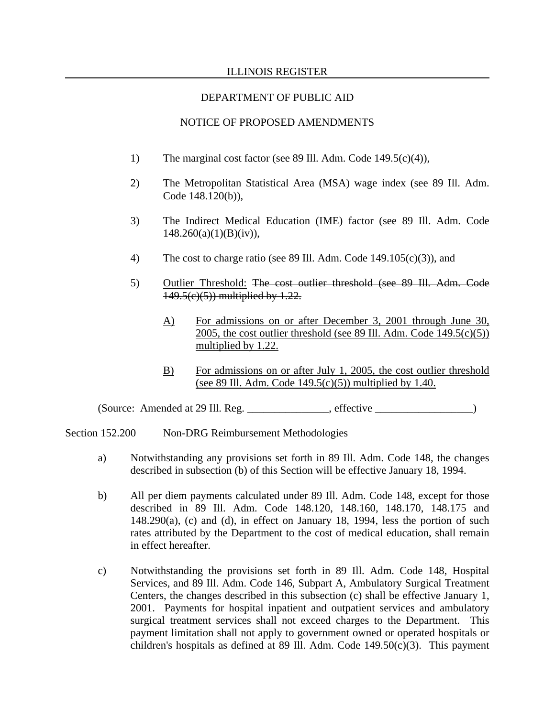### ILLINOIS REGISTER

## DEPARTMENT OF PUBLIC AID

#### NOTICE OF PROPOSED AMENDMENTS

- 1) The marginal cost factor (see 89 Ill. Adm. Code 149.5(c)(4)),
- 2) The Metropolitan Statistical Area (MSA) wage index (see 89 Ill. Adm. Code 148.120(b)),
- 3) The Indirect Medical Education (IME) factor (see 89 Ill. Adm. Code  $148.260(a)(1)(B)(iv)$ ,
- 4) The cost to charge ratio (see 89 Ill. Adm. Code 149.105(c)(3)), and
- 5) Outlier Threshold: The cost outlier threshold (see 89 Ill. Adm. Code 149.5(c)(5)) multiplied by 1.22.
	- A) For admissions on or after December 3, 2001 through June 30, 2005, the cost outlier threshold (see 89 Ill. Adm. Code  $149.5(c)(5)$ ) multiplied by 1.22.
	- B) For admissions on or after July 1, 2005, the cost outlier threshold (see 89 Ill. Adm. Code  $149.5(c)(5)$ ) multiplied by 1.40.

(Source: Amended at 29 Ill. Reg. \_\_\_\_\_\_\_\_\_\_\_\_\_\_\_, effective \_\_\_\_\_\_\_\_\_\_\_\_\_\_\_\_\_\_)

Section 152.200 Non-DRG Reimbursement Methodologies

- a) Notwithstanding any provisions set forth in 89 Ill. Adm. Code 148, the changes described in subsection (b) of this Section will be effective January 18, 1994.
- b) All per diem payments calculated under 89 Ill. Adm. Code 148, except for those described in 89 Ill. Adm. Code 148.120, 148.160, 148.170, 148.175 and  $148.290(a)$ , (c) and (d), in effect on January 18, 1994, less the portion of such rates attributed by the Department to the cost of medical education, shall remain in effect hereafter.
- c) Notwithstanding the provisions set forth in 89 Ill. Adm. Code 148, Hospital Services, and 89 Ill. Adm. Code 146, Subpart A, Ambulatory Surgical Treatment Centers, the changes described in this subsection (c) shall be effective January 1, 2001. Payments for hospital inpatient and outpatient services and ambulatory surgical treatment services shall not exceed charges to the Department. This payment limitation shall not apply to government owned or operated hospitals or children's hospitals as defined at 89 Ill. Adm. Code  $149.50(c)(3)$ . This payment